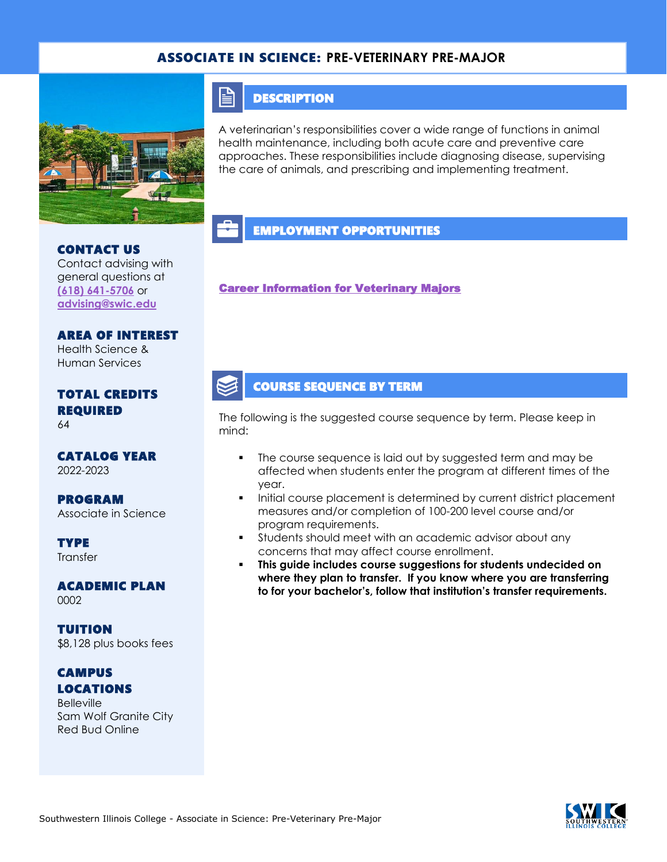### ASSOCIATE IN SCIENCE: **PRE-VETERINARY PRE-MAJOR**



### **DESCRIPTION**

E

A veterinarian's responsibilities cover a wide range of functions in animal health maintenance, including both acute care and preventive care approaches. These responsibilities include diagnosing disease, supervising the care of animals, and prescribing and implementing treatment.

### EMPLOYMENT OPPORTUNITIES

[Career Information for Veterinary Majors](https://www.onetonline.org/find/quick?s=veteninary) 

#### COURSE SEQUENCE BY TERM

The following is the suggested course sequence by term. Please keep in mind:

- The course sequence is laid out by suggested term and may be affected when students enter the program at different times of the year.
- Initial course placement is determined by current district placement measures and/or completion of 100-200 level course and/or program requirements.
- **•** Students should meet with an academic advisor about any concerns that may affect course enrollment.
- **This guide includes course suggestions for students undecided on where they plan to transfer. If you know where you are transferring to for your bachelor's, follow that institution's transfer requirements.**

# CONTACT US

Contact advising with general questions at **[\(618\) 641-5706](tel:%20(618)%20641-5706)** or **[advising@swic.edu](mailto:advising@swic.edu)**

# AREA OF INTEREST Health Science &

Human Services

#### TOTAL CREDITS REQUIRED 64

CATALOG YEAR 2022-2023

PROGRAM Associate in Science

**TYPE Transfer** 

ACADEMIC PLAN 0002

TUITION \$8,128 plus books fees

### **CAMPUS** LOCATIONS

**Belleville** Sam Wolf Granite City Red Bud Online